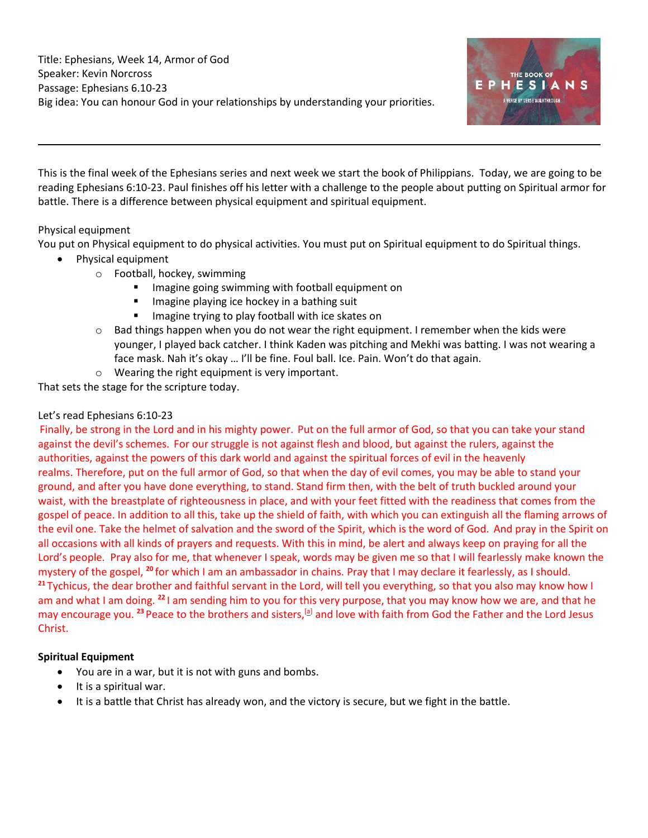

This is the final week of the Ephesians series and next week we start the book of Philippians. Today, we are going to be reading Ephesians 6:10-23. Paul finishes off his letter with a challenge to the people about putting on Spiritual armor for battle. There is a difference between physical equipment and spiritual equipment.

# Physical equipment

You put on Physical equipment to do physical activities. You must put on Spiritual equipment to do Spiritual things.

- Physical equipment
	- o Football, hockey, swimming
		- **■** Imagine going swimming with football equipment on
		- **■** Imagine playing ice hockey in a bathing suit
		- Imagine trying to play football with ice skates on
	- $\circ$  Bad things happen when you do not wear the right equipment. I remember when the kids were younger, I played back catcher. I think Kaden was pitching and Mekhi was batting. I was not wearing a face mask. Nah it's okay … I'll be fine. Foul ball. Ice. Pain. Won't do that again.
	- o Wearing the right equipment is very important.

That sets the stage for the scripture today.

## Let's read Ephesians 6:10-23

Finally, be strong in the Lord and in his mighty power. Put on the full armor of God, so that you can take your stand against the devil's schemes. For our struggle is not against flesh and blood, but against the rulers, against the authorities, against the powers of this dark world and against the spiritual forces of evil in the heavenly realms. Therefore, put on the full armor of God, so that when the day of evil comes, you may be able to stand your ground, and after you have done everything, to stand. Stand firm then, with the belt of truth buckled around your waist, with the breastplate of righteousness in place, and with your feet fitted with the readiness that comes from the gospel of peace. In addition to all this, take up the shield of faith, with which you can extinguish all the flaming arrows of the evil one. Take the helmet of salvation and the sword of the Spirit, which is the word of God. And pray in the Spirit on all occasions with all kinds of prayers and requests. With this in mind, be alert and always keep on praying for all the Lord's people. Pray also for me, that whenever I speak, words may be given me so that I will fearlessly make known the mystery of the gospel, **<sup>20</sup>** for which I am an ambassador in chains. Pray that I may declare it fearlessly, as I should. **<sup>21</sup>** Tychicus, the dear brother and faithful servant in the Lord, will tell you everything, so that you also may know how I am and what I am doing. **<sup>22</sup>** I am sending him to you for this very purpose, that you may know how we are, and that he may encourage you. <sup>23</sup> Peace to the brothers and sisters,<sup>[\[a\]](https://www.biblegateway.com/passage/?search=Ephesians%206%3A10-23&version=NIV#fen-NIV-29361a)</sup> and love with faith from God the Father and the Lord Jesus Christ.

# **Spiritual Equipment**

- You are in a war, but it is not with guns and bombs.
- It is a spiritual war.
- It is a battle that Christ has already won, and the victory is secure, but we fight in the battle.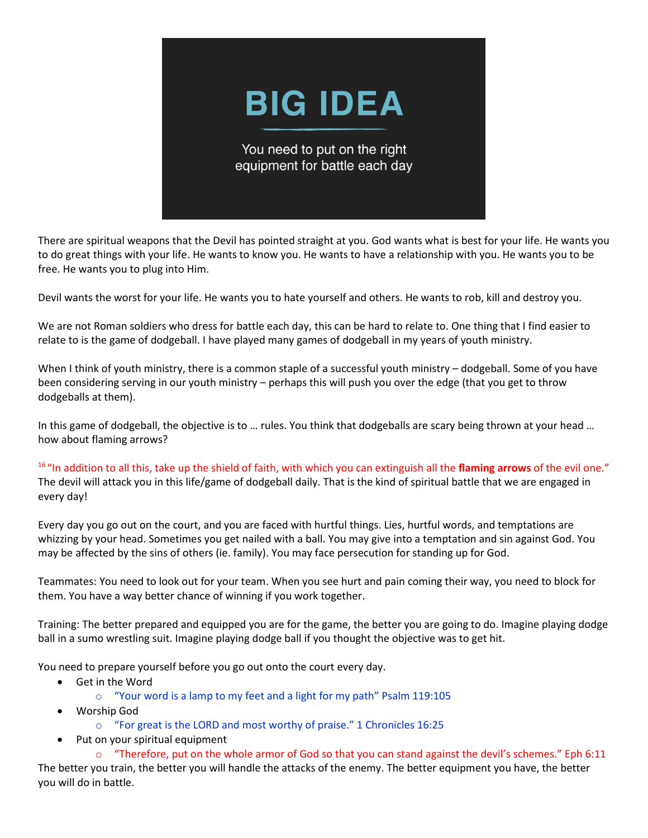# **BIG IDEA**

You need to put on the right equipment for battle each day

There are spiritual weapons that the Devil has pointed straight at you. God wants what is best for your life. He wants you to do great things with your life. He wants to know you. He wants to have a relationship with you. He wants you to be free. He wants you to plug into Him.

Devil wants the worst for your life. He wants you to hate yourself and others. He wants to rob, kill and destroy you.

We are not Roman soldiers who dress for battle each day, this can be hard to relate to. One thing that I find easier to relate to is the game of dodgeball. I have played many games of dodgeball in my years of youth ministry.

When I think of youth ministry, there is a common staple of a successful youth ministry – dodgeball. Some of you have been considering serving in our youth ministry – perhaps this will push you over the edge (that you get to throw dodgeballs at them).

In this game of dodgeball, the objective is to … rules. You think that dodgeballs are scary being thrown at your head … how about flaming arrows?

<sup>16</sup>"In addition to all this, take up the shield of faith, with which you can extinguish all the **flaming arrows** of the evil one." The devil will attack you in this life/game of dodgeball daily. That is the kind of spiritual battle that we are engaged in every day!

Every day you go out on the court, and you are faced with hurtful things. Lies, hurtful words, and temptations are whizzing by your head. Sometimes you get nailed with a ball. You may give into a temptation and sin against God. You may be affected by the sins of others (ie. family). You may face persecution for standing up for God.

Teammates: You need to look out for your team. When you see hurt and pain coming their way, you need to block for them. You have a way better chance of winning if you work together.

Training: The better prepared and equipped you are for the game, the better you are going to do. Imagine playing dodge ball in a sumo wrestling suit. Imagine playing dodge ball if you thought the objective was to get hit.

You need to prepare yourself before you go out onto the court every day.

- Get in the Word
	- o "Your word is a lamp to my feet and a light for my path" Psalm 119:105
- Worship God
	- o "For great is the LORD and most worthy of praise." 1 Chronicles 16:25
- Put on your spiritual equipment

 $\circ$  "Therefore, put on the whole armor of God so that you can stand against the devil's schemes." Eph 6:11 The better you train, the better you will handle the attacks of the enemy. The better equipment you have, the better you will do in battle.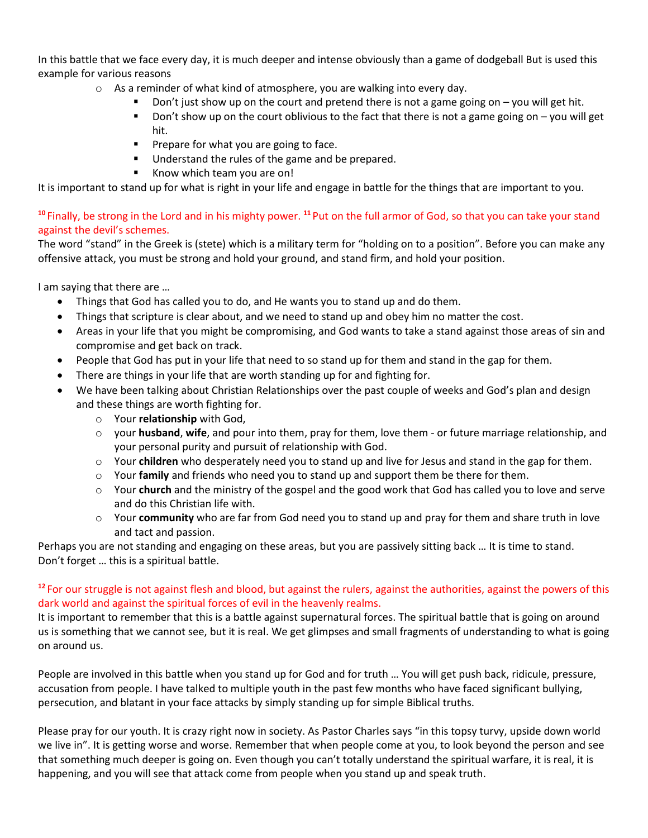In this battle that we face every day, it is much deeper and intense obviously than a game of dodgeball But is used this example for various reasons

- $\circ$  As a reminder of what kind of atmosphere, you are walking into every day.
	- Don't just show up on the court and pretend there is not a game going on  $-$  you will get hit.
	- Don't show up on the court oblivious to the fact that there is not a game going on you will get hit.
	- **•** Prepare for what you are going to face.
	- Understand the rules of the game and be prepared.
	- Know which team you are on!

It is important to stand up for what is right in your life and engage in battle for the things that are important to you.

# **<sup>10</sup>** Finally, be strong in the Lord and in his mighty power. **<sup>11</sup>** Put on the full armor of God, so that you can take your stand against the devil's schemes.

The word "stand" in the Greek is (stete) which is a military term for "holding on to a position". Before you can make any offensive attack, you must be strong and hold your ground, and stand firm, and hold your position.

I am saying that there are …

- Things that God has called you to do, and He wants you to stand up and do them.
- Things that scripture is clear about, and we need to stand up and obey him no matter the cost.
- Areas in your life that you might be compromising, and God wants to take a stand against those areas of sin and compromise and get back on track.
- People that God has put in your life that need to so stand up for them and stand in the gap for them.
- There are things in your life that are worth standing up for and fighting for.
- We have been talking about Christian Relationships over the past couple of weeks and God's plan and design and these things are worth fighting for.
	- o Your **relationship** with God,
	- o your **husband**, **wife**, and pour into them, pray for them, love them or future marriage relationship, and your personal purity and pursuit of relationship with God.
	- o Your **children** who desperately need you to stand up and live for Jesus and stand in the gap for them.
	- o Your **family** and friends who need you to stand up and support them be there for them.
	- o Your **church** and the ministry of the gospel and the good work that God has called you to love and serve and do this Christian life with.
	- o Your **community** who are far from God need you to stand up and pray for them and share truth in love and tact and passion.

Perhaps you are not standing and engaging on these areas, but you are passively sitting back … It is time to stand. Don't forget … this is a spiritual battle.

## **<sup>12</sup>** For our struggle is not against flesh and blood, but against the rulers, against the authorities, against the powers of this dark world and against the spiritual forces of evil in the heavenly realms.

It is important to remember that this is a battle against supernatural forces. The spiritual battle that is going on around us is something that we cannot see, but it is real. We get glimpses and small fragments of understanding to what is going on around us.

People are involved in this battle when you stand up for God and for truth … You will get push back, ridicule, pressure, accusation from people. I have talked to multiple youth in the past few months who have faced significant bullying, persecution, and blatant in your face attacks by simply standing up for simple Biblical truths.

Please pray for our youth. It is crazy right now in society. As Pastor Charles says "in this topsy turvy, upside down world we live in". It is getting worse and worse. Remember that when people come at you, to look beyond the person and see that something much deeper is going on. Even though you can't totally understand the spiritual warfare, it is real, it is happening, and you will see that attack come from people when you stand up and speak truth.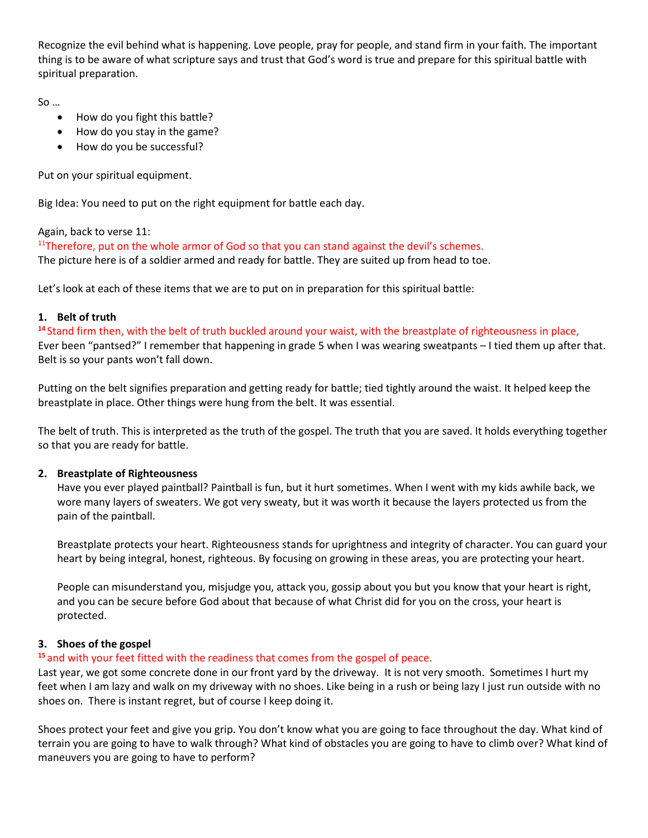Recognize the evil behind what is happening. Love people, pray for people, and stand firm in your faith. The important thing is to be aware of what scripture says and trust that God's word is true and prepare for this spiritual battle with spiritual preparation.

So …

- How do you fight this battle?
- How do you stay in the game?
- How do you be successful?

Put on your spiritual equipment.

Big Idea: You need to put on the right equipment for battle each day.

Again, back to verse 11:

 $11$ Therefore, put on the whole armor of God so that you can stand against the devil's schemes. The picture here is of a soldier armed and ready for battle. They are suited up from head to toe.

Let's look at each of these items that we are to put on in preparation for this spiritual battle:

#### **1. Belt of truth**

**<sup>14</sup>** Stand firm then, with the belt of truth buckled around your waist, with the breastplate of righteousness in place, Ever been "pantsed?" I remember that happening in grade 5 when I was wearing sweatpants – I tied them up after that. Belt is so your pants won't fall down.

Putting on the belt signifies preparation and getting ready for battle; tied tightly around the waist. It helped keep the breastplate in place. Other things were hung from the belt. It was essential.

The belt of truth. This is interpreted as the truth of the gospel. The truth that you are saved. It holds everything together so that you are ready for battle.

#### **2. Breastplate of Righteousness**

Have you ever played paintball? Paintball is fun, but it hurt sometimes. When I went with my kids awhile back, we wore many layers of sweaters. We got very sweaty, but it was worth it because the layers protected us from the pain of the paintball.

Breastplate protects your heart. Righteousness stands for uprightness and integrity of character. You can guard your heart by being integral, honest, righteous. By focusing on growing in these areas, you are protecting your heart.

People can misunderstand you, misjudge you, attack you, gossip about you but you know that your heart is right, and you can be secure before God about that because of what Christ did for you on the cross, your heart is protected.

#### **3. Shoes of the gospel**

# **<sup>15</sup>** and with your feet fitted with the readiness that comes from the gospel of peace.

Last year, we got some concrete done in our front yard by the driveway. It is not very smooth. Sometimes I hurt my feet when I am lazy and walk on my driveway with no shoes. Like being in a rush or being lazy I just run outside with no shoes on. There is instant regret, but of course I keep doing it.

Shoes protect your feet and give you grip. You don't know what you are going to face throughout the day. What kind of terrain you are going to have to walk through? What kind of obstacles you are going to have to climb over? What kind of maneuvers you are going to have to perform?